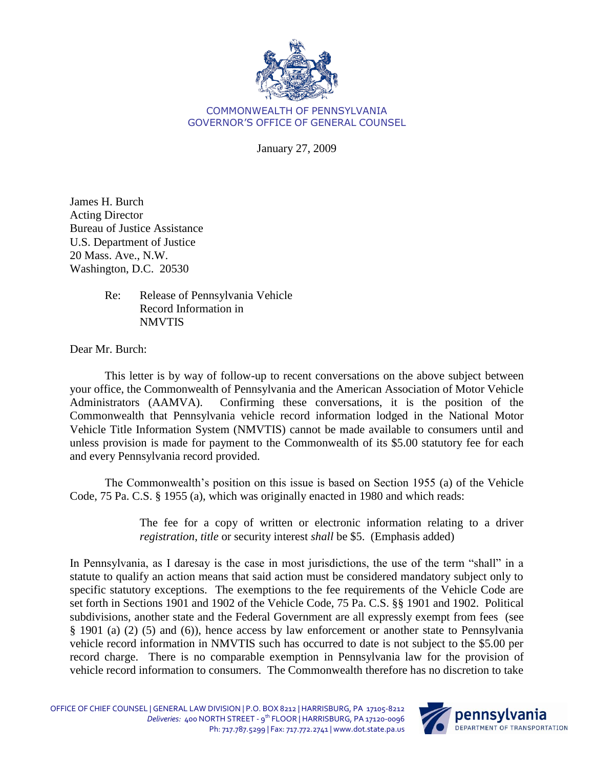

## COMMONWEALTH OF PENNSYLVANIA GOVERNOR'S OFFICE OF GENERAL COUNSEL

January 27, 2009

James H. Burch Acting Director Bureau of Justice Assistance U.S. Department of Justice 20 Mass. Ave., N.W. Washington, D.C. 20530

> Re: Release of Pennsylvania Vehicle Record Information in NMVTIS

Dear Mr. Burch:

This letter is by way of follow-up to recent conversations on the above subject between your office, the Commonwealth of Pennsylvania and the American Association of Motor Vehicle Administrators (AAMVA). Confirming these conversations, it is the position of the Commonwealth that Pennsylvania vehicle record information lodged in the National Motor Vehicle Title Information System (NMVTIS) cannot be made available to consumers until and unless provision is made for payment to the Commonwealth of its \$5.00 statutory fee for each and every Pennsylvania record provided.

The Commonwealth's position on this issue is based on Section 1955 (a) of the Vehicle Code, 75 Pa. C.S. § 1955 (a), which was originally enacted in 1980 and which reads:

> The fee for a copy of written or electronic information relating to a driver *registration*, *title* or security interest *shall* be \$5. (Emphasis added)

In Pennsylvania, as I daresay is the case in most jurisdictions, the use of the term "shall" in a statute to qualify an action means that said action must be considered mandatory subject only to specific statutory exceptions. The exemptions to the fee requirements of the Vehicle Code are set forth in Sections 1901 and 1902 of the Vehicle Code, 75 Pa. C.S. §§ 1901 and 1902. Political subdivisions, another state and the Federal Government are all expressly exempt from fees (see § 1901 (a) (2) (5) and (6)), hence access by law enforcement or another state to Pennsylvania vehicle record information in NMVTIS such has occurred to date is not subject to the \$5.00 per record charge. There is no comparable exemption in Pennsylvania law for the provision of vehicle record information to consumers. The Commonwealth therefore has no discretion to take